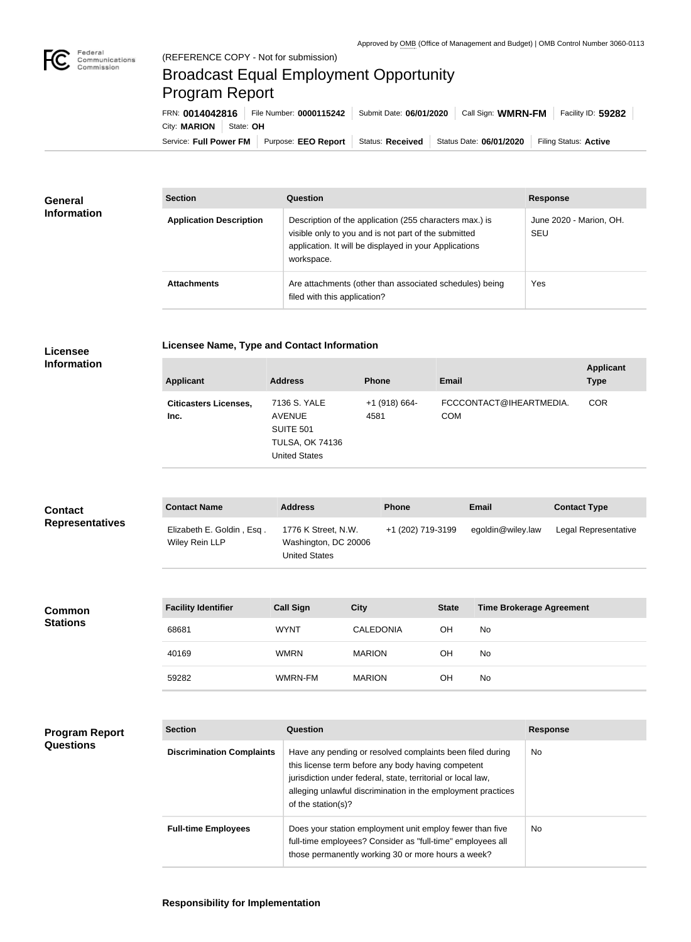**COL** 

## Broadcast Equal Employment Opportunity Program Report

Service: Full Power FM Purpose: EEO Report | Status: Received | Status Date: 06/01/2020 | Filing Status: Active City: **MARION** State: **OH** FRN: **0014042816** File Number: **0000115242** Submit Date: **06/01/2020** Call Sign: **WMRN-FM** Facility ID: **59282**

| <b>General</b><br><b>Information</b> | <b>Section</b>                 | Question                                                                                                                                                                                | <b>Response</b>                |
|--------------------------------------|--------------------------------|-----------------------------------------------------------------------------------------------------------------------------------------------------------------------------------------|--------------------------------|
|                                      | <b>Application Description</b> | Description of the application (255 characters max.) is<br>visible only to you and is not part of the submitted<br>application. It will be displayed in your Applications<br>workspace. | June 2020 - Marion, OH.<br>SEU |
|                                      | <b>Attachments</b>             | Are attachments (other than associated schedules) being<br>filed with this application?                                                                                                 | Yes                            |

| <b>Licensee</b> |
|-----------------|
| Information     |

**Licensee Name, Type and Contact Information**

**Information**

**Program Report** 

**Questions**

| <b>Applicant</b>                     | <b>Address</b>                                                                                      | <b>Phone</b>            | <b>Email</b>                          | <b>Applicant</b><br><b>Type</b> |
|--------------------------------------|-----------------------------------------------------------------------------------------------------|-------------------------|---------------------------------------|---------------------------------|
| <b>Citicasters Licenses,</b><br>Inc. | 7136 S. YALE<br><b>AVENUE</b><br><b>SUITE 501</b><br><b>TULSA, OK 74136</b><br><b>United States</b> | $+1$ (918) 664-<br>4581 | FCCCONTACT@IHEARTMEDIA.<br><b>COM</b> | <b>COR</b>                      |

| <b>Contact</b>         | <b>Contact Name</b>                         | <b>Address</b>                                                      | <b>Phone</b>      | Email             | <b>Contact Type</b>  |
|------------------------|---------------------------------------------|---------------------------------------------------------------------|-------------------|-------------------|----------------------|
| <b>Representatives</b> | Elizabeth E. Goldin, Esq.<br>Wiley Rein LLP | 1776 K Street, N.W.<br>Washington, DC 20006<br><b>United States</b> | +1 (202) 719-3199 | egoldin@wiley.law | Legal Representative |

| Common<br><b>Stations</b> | <b>Facility Identifier</b> | <b>Call Sign</b> | <b>City</b>      | <b>State</b> | <b>Time Brokerage Agreement</b> |
|---------------------------|----------------------------|------------------|------------------|--------------|---------------------------------|
|                           | 68681                      | <b>WYNT</b>      | <b>CALEDONIA</b> | ΟH           | No                              |
|                           | 40169                      | <b>WMRN</b>      | <b>MARION</b>    | ΟH           | No                              |
|                           | 59282                      | WMRN-FM          | <b>MARION</b>    | OH           | No                              |

| <b>Section</b>                   | Question                                                                                                                                                                                                                                                              | <b>Response</b> |
|----------------------------------|-----------------------------------------------------------------------------------------------------------------------------------------------------------------------------------------------------------------------------------------------------------------------|-----------------|
| <b>Discrimination Complaints</b> | Have any pending or resolved complaints been filed during<br>this license term before any body having competent<br>jurisdiction under federal, state, territorial or local law,<br>alleging unlawful discrimination in the employment practices<br>of the station(s)? | <b>No</b>       |
| <b>Full-time Employees</b>       | Does your station employment unit employ fewer than five<br>full-time employees? Consider as "full-time" employees all<br>those permanently working 30 or more hours a week?                                                                                          | <b>No</b>       |